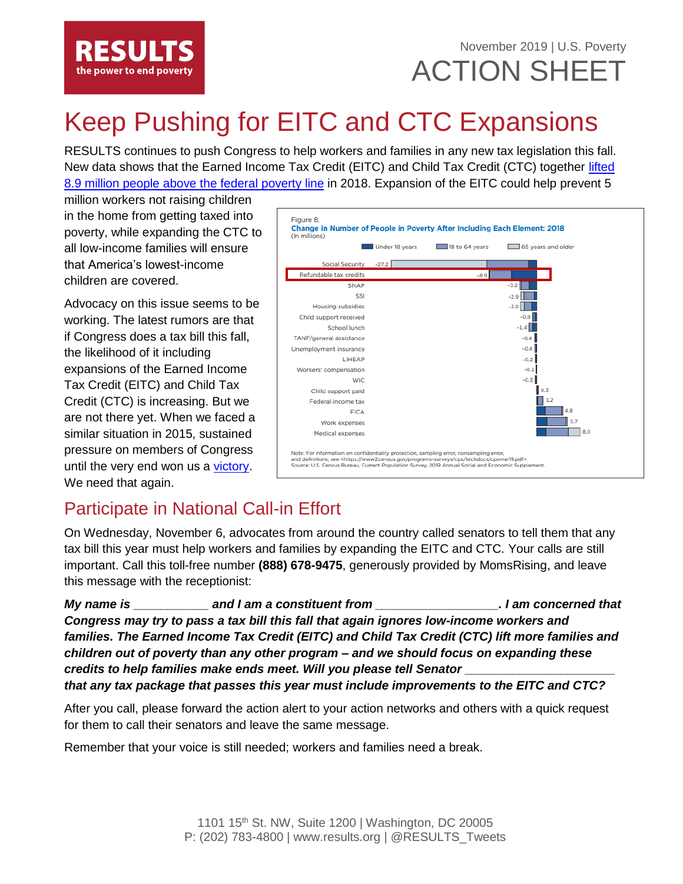

### November 2019 | U.S. Poverty ACTION SHEET

# Keep Pushing for EITC and CTC Expansions

RESULTS continues to push Congress to help workers and families in any new tax legislation this fall. New data shows that the Earned Income Tax Credit (EITC) and Child Tax Credit (CTC) together [lifted](https://www.census.gov/content/dam/Census/library/visualizations/2019/demo/p60-268/figure8.pdf)  [8.9 million people above the federal](https://www.census.gov/content/dam/Census/library/visualizations/2019/demo/p60-268/figure8.pdf) poverty line in 2018. Expansion of the EITC could help prevent 5

million workers not raising children in the home from getting taxed into poverty, while expanding the CTC to all low-income families will ensure that America's lowest-income children are covered.

Advocacy on this issue seems to be working. The latest rumors are that if Congress does a tax bill this fall, the likelihood of it including expansions of the Earned Income Tax Credit (EITC) and Child Tax Credit (CTC) is increasing. But we are not there yet. When we faced a similar situation in 2015, sustained pressure on members of Congress until the very end won us a [victory.](https://results.org/wp-content/uploads/Annual-Successes-2015-1.pdf) We need that again.



### Participate in National Call-in Effort

On Wednesday, November 6, advocates from around the country called senators to tell them that any tax bill this year must help workers and families by expanding the EITC and CTC. Your calls are still important. Call this toll-free number **(888) 678-9475**, generously provided by MomsRising, and leave this message with the receptionist:

*My name is \_\_\_\_\_\_\_\_\_\_\_ and I am a constituent from \_\_\_\_\_\_\_\_\_\_\_\_\_\_\_\_\_\_. I am concerned that Congress may try to pass a tax bill this fall that again ignores low-income workers and families. The Earned Income Tax Credit (EITC) and Child Tax Credit (CTC) lift more families and children out of poverty than any other program – and we should focus on expanding these credits to help families make ends meet. Will you please tell Senator that any tax package that passes this year must include improvements to the EITC and CTC?*

After you call, please forward the action alert to your action networks and others with a quick request for them to call their senators and leave the same message.

Remember that your voice is still needed; workers and families need a break.